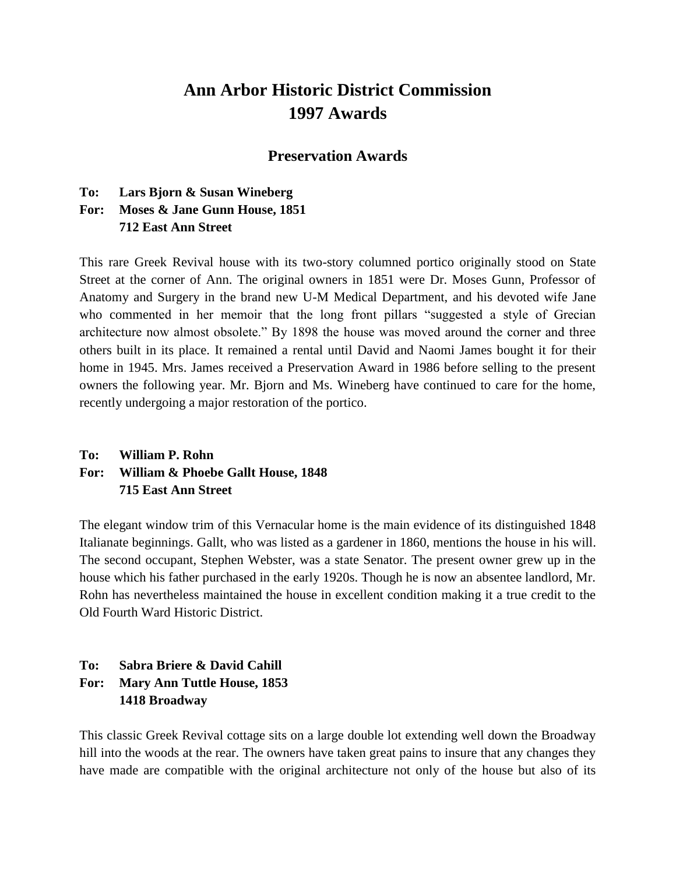# **Ann Arbor Historic District Commission 1997 Awards**

#### **Preservation Awards**

#### **To: Lars Bjorn & Susan Wineberg**

#### **For: Moses & Jane Gunn House, 1851 712 East Ann Street**

This rare Greek Revival house with its two-story columned portico originally stood on State Street at the corner of Ann. The original owners in 1851 were Dr. Moses Gunn, Professor of Anatomy and Surgery in the brand new U-M Medical Department, and his devoted wife Jane who commented in her memoir that the long front pillars "suggested a style of Grecian architecture now almost obsolete." By 1898 the house was moved around the corner and three others built in its place. It remained a rental until David and Naomi James bought it for their home in 1945. Mrs. James received a Preservation Award in 1986 before selling to the present owners the following year. Mr. Bjorn and Ms. Wineberg have continued to care for the home, recently undergoing a major restoration of the portico.

### **To: William P. Rohn For: William & Phoebe Gallt House, 1848 715 East Ann Street**

The elegant window trim of this Vernacular home is the main evidence of its distinguished 1848 Italianate beginnings. Gallt, who was listed as a gardener in 1860, mentions the house in his will. The second occupant, Stephen Webster, was a state Senator. The present owner grew up in the house which his father purchased in the early 1920s. Though he is now an absentee landlord, Mr. Rohn has nevertheless maintained the house in excellent condition making it a true credit to the Old Fourth Ward Historic District.

#### **To: Sabra Briere & David Cahill For: Mary Ann Tuttle House, 1853 1418 Broadway**

This classic Greek Revival cottage sits on a large double lot extending well down the Broadway hill into the woods at the rear. The owners have taken great pains to insure that any changes they have made are compatible with the original architecture not only of the house but also of its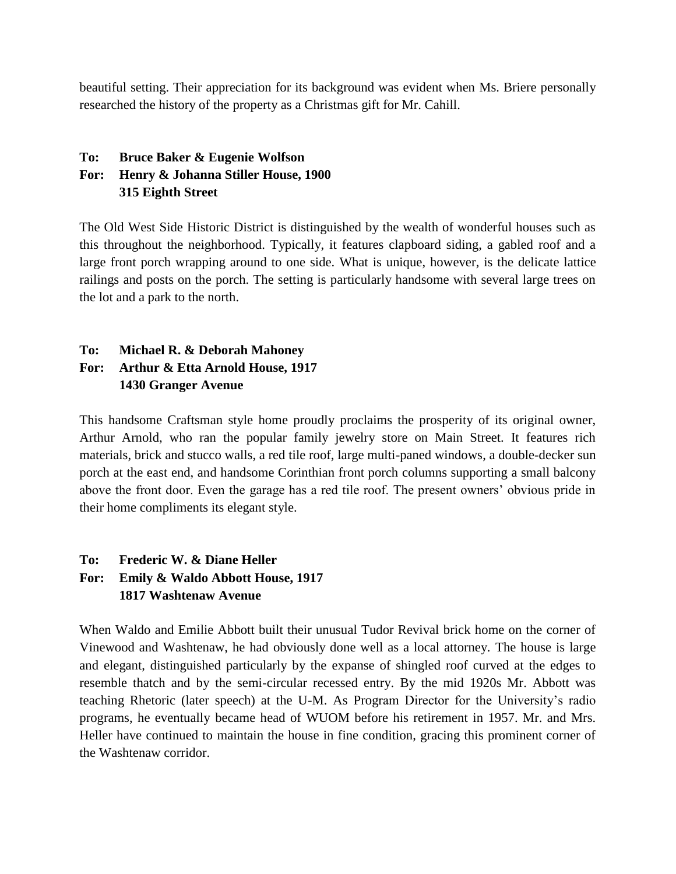beautiful setting. Their appreciation for its background was evident when Ms. Briere personally researched the history of the property as a Christmas gift for Mr. Cahill.

# **To: Bruce Baker & Eugenie Wolfson For: Henry & Johanna Stiller House, 1900 315 Eighth Street**

The Old West Side Historic District is distinguished by the wealth of wonderful houses such as this throughout the neighborhood. Typically, it features clapboard siding, a gabled roof and a large front porch wrapping around to one side. What is unique, however, is the delicate lattice railings and posts on the porch. The setting is particularly handsome with several large trees on the lot and a park to the north.

# **To: Michael R. & Deborah Mahoney For: Arthur & Etta Arnold House, 1917 1430 Granger Avenue**

This handsome Craftsman style home proudly proclaims the prosperity of its original owner, Arthur Arnold, who ran the popular family jewelry store on Main Street. It features rich materials, brick and stucco walls, a red tile roof, large multi-paned windows, a double-decker sun porch at the east end, and handsome Corinthian front porch columns supporting a small balcony above the front door. Even the garage has a red tile roof. The present owners' obvious pride in their home compliments its elegant style.

# **To: Frederic W. & Diane Heller For: Emily & Waldo Abbott House, 1917 1817 Washtenaw Avenue**

When Waldo and Emilie Abbott built their unusual Tudor Revival brick home on the corner of Vinewood and Washtenaw, he had obviously done well as a local attorney. The house is large and elegant, distinguished particularly by the expanse of shingled roof curved at the edges to resemble thatch and by the semi-circular recessed entry. By the mid 1920s Mr. Abbott was teaching Rhetoric (later speech) at the U-M. As Program Director for the University's radio programs, he eventually became head of WUOM before his retirement in 1957. Mr. and Mrs. Heller have continued to maintain the house in fine condition, gracing this prominent corner of the Washtenaw corridor.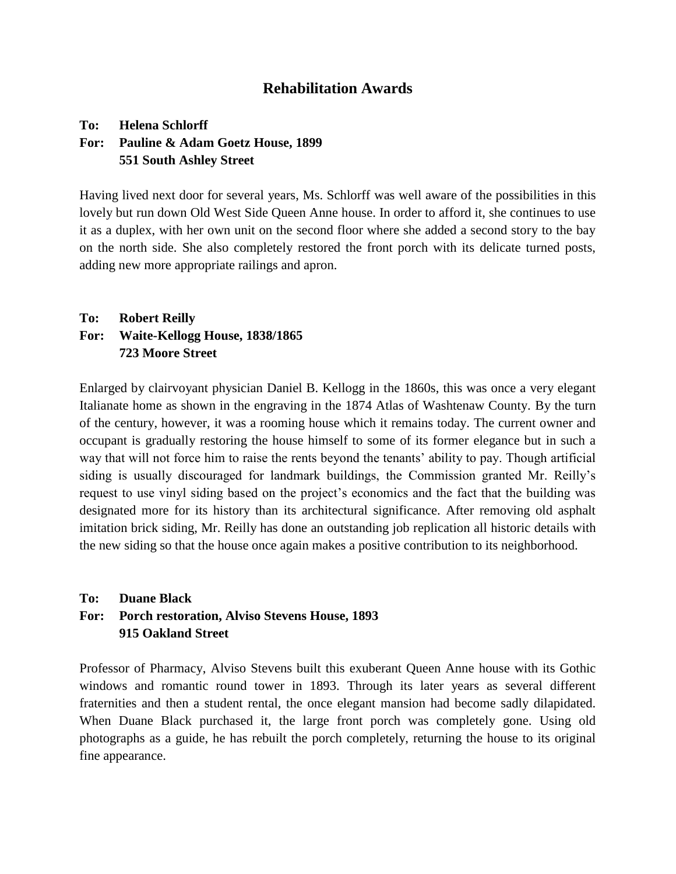### **Rehabilitation Awards**

#### **To: Helena Schlorff For: Pauline & Adam Goetz House, 1899 551 South Ashley Street**

Having lived next door for several years, Ms. Schlorff was well aware of the possibilities in this lovely but run down Old West Side Queen Anne house. In order to afford it, she continues to use it as a duplex, with her own unit on the second floor where she added a second story to the bay on the north side. She also completely restored the front porch with its delicate turned posts, adding new more appropriate railings and apron.

# **To: Robert Reilly For: Waite-Kellogg House, 1838/1865 723 Moore Street**

Enlarged by clairvoyant physician Daniel B. Kellogg in the 1860s, this was once a very elegant Italianate home as shown in the engraving in the 1874 Atlas of Washtenaw County. By the turn of the century, however, it was a rooming house which it remains today. The current owner and occupant is gradually restoring the house himself to some of its former elegance but in such a way that will not force him to raise the rents beyond the tenants' ability to pay. Though artificial siding is usually discouraged for landmark buildings, the Commission granted Mr. Reilly's request to use vinyl siding based on the project's economics and the fact that the building was designated more for its history than its architectural significance. After removing old asphalt imitation brick siding, Mr. Reilly has done an outstanding job replication all historic details with the new siding so that the house once again makes a positive contribution to its neighborhood.

#### **To: Duane Black For: Porch restoration, Alviso Stevens House, 1893 915 Oakland Street**

Professor of Pharmacy, Alviso Stevens built this exuberant Queen Anne house with its Gothic windows and romantic round tower in 1893. Through its later years as several different fraternities and then a student rental, the once elegant mansion had become sadly dilapidated. When Duane Black purchased it, the large front porch was completely gone. Using old photographs as a guide, he has rebuilt the porch completely, returning the house to its original fine appearance.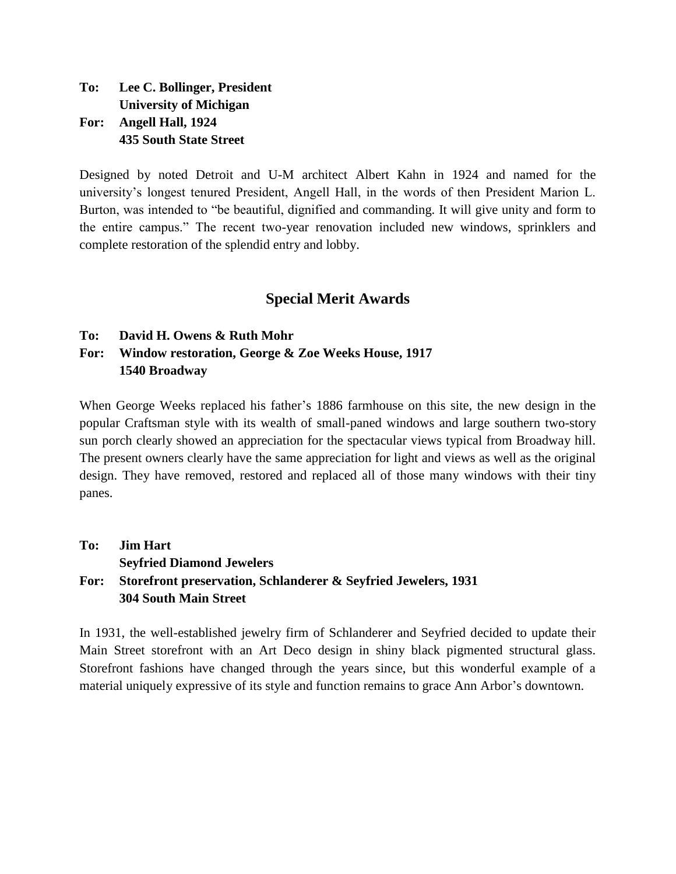**To: Lee C. Bollinger, President University of Michigan For: Angell Hall, 1924 435 South State Street**

Designed by noted Detroit and U-M architect Albert Kahn in 1924 and named for the university's longest tenured President, Angell Hall, in the words of then President Marion L. Burton, was intended to "be beautiful, dignified and commanding. It will give unity and form to the entire campus." The recent two-year renovation included new windows, sprinklers and complete restoration of the splendid entry and lobby.

# **Special Merit Awards**

#### **To: David H. Owens & Ruth Mohr**

### **For: Window restoration, George & Zoe Weeks House, 1917 1540 Broadway**

When George Weeks replaced his father's 1886 farmhouse on this site, the new design in the popular Craftsman style with its wealth of small-paned windows and large southern two-story sun porch clearly showed an appreciation for the spectacular views typical from Broadway hill. The present owners clearly have the same appreciation for light and views as well as the original design. They have removed, restored and replaced all of those many windows with their tiny panes.

# **To: Jim Hart Seyfried Diamond Jewelers For: Storefront preservation, Schlanderer & Seyfried Jewelers, 1931 304 South Main Street**

In 1931, the well-established jewelry firm of Schlanderer and Seyfried decided to update their Main Street storefront with an Art Deco design in shiny black pigmented structural glass. Storefront fashions have changed through the years since, but this wonderful example of a material uniquely expressive of its style and function remains to grace Ann Arbor's downtown.